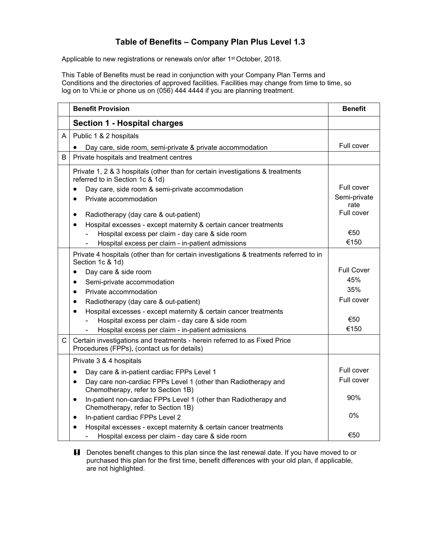## **Table of Benefits – Company Plan Plus Level 1.3**

Applicable to new registrations or renewals on/or after 1<sup>st</sup> October, 2018.

This Table of Benefits must be read in conjunction with your Company Plan Terms and Conditions and the directories of approved facilities. Facilities may change from time to time, so log on to Vhi.ie or phone us on (056) 444 4444 if you are planning treatment.

|   | <b>Benefit Provision</b>                                                                                                 | <b>Benefit</b>     |
|---|--------------------------------------------------------------------------------------------------------------------------|--------------------|
|   | Section 1 - Hospital charges                                                                                             |                    |
| A | Public 1 & 2 hospitals                                                                                                   |                    |
|   | Day care, side room, semi-private & private accommodation                                                                | Full cover         |
| B | Private hospitals and treatment centres                                                                                  |                    |
|   | Private 1, 2 & 3 hospitals (other than for certain investigations & treatments<br>referred to in Section 1c & 1d)        |                    |
|   | Day care, side room & semi-private accommodation                                                                         | Full cover         |
|   | Private accommodation<br>$\bullet$                                                                                       | Semi-private       |
|   |                                                                                                                          | rate<br>Full cover |
|   | Radiotherapy (day care & out-patient)<br>٠                                                                               |                    |
|   | Hospital excesses - except maternity & certain cancer treatments<br>$\bullet$                                            |                    |
|   | Hospital excess per claim - day care & side room                                                                         | €50                |
|   | Hospital excess per claim - in-patient admissions                                                                        | €150               |
|   | Private 4 hospitals (other than for certain investigations & treatments referred to in<br>Section 1c & 1d)               |                    |
|   | Day care & side room<br>$\bullet$                                                                                        | <b>Full Cover</b>  |
|   | Semi-private accommodation<br>$\bullet$                                                                                  | 45%                |
|   | Private accommodation<br>$\bullet$                                                                                       | 35%                |
|   | Radiotherapy (day care & out-patient)<br>٠                                                                               | Full cover         |
|   | Hospital excesses - except maternity & certain cancer treatments<br>$\bullet$                                            |                    |
|   | Hospital excess per claim - day care & side room                                                                         | €50                |
|   | Hospital excess per claim - in-patient admissions                                                                        | €150               |
| C | Certain investigations and treatments - herein referred to as Fixed Price<br>Procedures (FPPs), (contact us for details) |                    |
|   | Private 3 & 4 hospitals                                                                                                  |                    |
|   | Day care & in-patient cardiac FPPs Level 1<br>$\bullet$                                                                  | Full cover         |
|   | Day care non-cardiac FPPs Level 1 (other than Radiotherapy and<br>$\bullet$<br>Chemotherapy, refer to Section 1B)        | Full cover         |
|   | In-patient non-cardiac FPPs Level 1 (other than Radiotherapy and<br>$\bullet$<br>Chemotherapy, refer to Section 1B)      | 90%                |
|   | In-patient cardiac FPPs Level 2<br>$\bullet$                                                                             | 0%                 |
|   | Hospital excesses - except maternity & certain cancer treatments<br>$\bullet$                                            |                    |
|   | Hospital excess per claim - day care & side room                                                                         | €50                |

**H** Denotes benefit changes to this plan since the last renewal date. If you have moved to or purchased this plan for the first time, benefit differences with your old plan, if applicable, are not highlighted.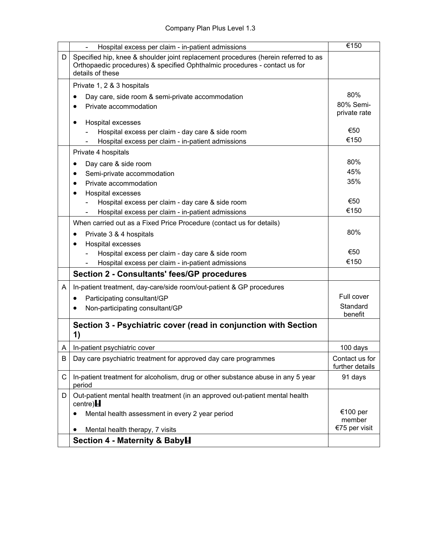|   | Hospital excess per claim - in-patient admissions                                                                                                                                    | €150                                |
|---|--------------------------------------------------------------------------------------------------------------------------------------------------------------------------------------|-------------------------------------|
| D | Specified hip, knee & shoulder joint replacement procedures (herein referred to as<br>Orthopaedic procedures) & specified Ophthalmic procedures - contact us for<br>details of these |                                     |
|   | Private 1, 2 & 3 hospitals                                                                                                                                                           |                                     |
|   | Day care, side room & semi-private accommodation<br>٠                                                                                                                                | 80%                                 |
|   | Private accommodation<br>٠                                                                                                                                                           | 80% Semi-                           |
|   | Hospital excesses<br>٠                                                                                                                                                               | private rate                        |
|   | Hospital excess per claim - day care & side room                                                                                                                                     | €50                                 |
|   | Hospital excess per claim - in-patient admissions                                                                                                                                    | €150                                |
|   | Private 4 hospitals                                                                                                                                                                  |                                     |
|   | Day care & side room<br>٠                                                                                                                                                            | 80%                                 |
|   | Semi-private accommodation                                                                                                                                                           | 45%                                 |
|   | Private accommodation<br>٠                                                                                                                                                           | 35%                                 |
|   | Hospital excesses                                                                                                                                                                    |                                     |
|   | Hospital excess per claim - day care & side room                                                                                                                                     | €50                                 |
|   | Hospital excess per claim - in-patient admissions                                                                                                                                    | €150                                |
|   | When carried out as a Fixed Price Procedure (contact us for details)                                                                                                                 |                                     |
|   | Private 3 & 4 hospitals                                                                                                                                                              | 80%                                 |
|   | Hospital excesses                                                                                                                                                                    | €50                                 |
|   | Hospital excess per claim - day care & side room                                                                                                                                     | €150                                |
|   | Hospital excess per claim - in-patient admissions                                                                                                                                    |                                     |
|   | <b>Section 2 - Consultants' fees/GP procedures</b>                                                                                                                                   |                                     |
| A | In-patient treatment, day-care/side room/out-patient & GP procedures                                                                                                                 |                                     |
|   | Participating consultant/GP<br>٠                                                                                                                                                     | Full cover                          |
|   | Non-participating consultant/GP                                                                                                                                                      | Standard<br>benefit                 |
|   | Section 3 - Psychiatric cover (read in conjunction with Section<br>1)                                                                                                                |                                     |
| A | In-patient psychiatric cover                                                                                                                                                         | 100 days                            |
| B | Day care psychiatric treatment for approved day care programmes                                                                                                                      | Contact us for<br>further details   |
| С | In-patient treatment for alcoholism, drug or other substance abuse in any 5 year<br>period                                                                                           | 91 days                             |
| D | Out-patient mental health treatment (in an approved out-patient mental health<br>centre) $H$                                                                                         |                                     |
|   | Mental health assessment in every 2 year period<br>Mental health therapy, 7 visits                                                                                                   | €100 per<br>member<br>€75 per visit |
|   | Section 4 - Maternity & BabyH                                                                                                                                                        |                                     |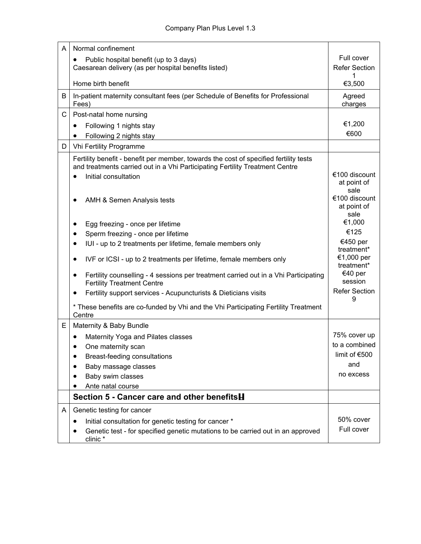| A | Normal confinement                                                                                                                                                                                                                                                                                                                                                                                                                                                                                                                     |                                                                                                                                                |
|---|----------------------------------------------------------------------------------------------------------------------------------------------------------------------------------------------------------------------------------------------------------------------------------------------------------------------------------------------------------------------------------------------------------------------------------------------------------------------------------------------------------------------------------------|------------------------------------------------------------------------------------------------------------------------------------------------|
|   | Public hospital benefit (up to 3 days)                                                                                                                                                                                                                                                                                                                                                                                                                                                                                                 | Full cover                                                                                                                                     |
|   | Caesarean delivery (as per hospital benefits listed)                                                                                                                                                                                                                                                                                                                                                                                                                                                                                   | <b>Refer Section</b>                                                                                                                           |
|   | Home birth benefit                                                                                                                                                                                                                                                                                                                                                                                                                                                                                                                     | €3,500                                                                                                                                         |
| B | In-patient maternity consultant fees (per Schedule of Benefits for Professional<br>Fees)                                                                                                                                                                                                                                                                                                                                                                                                                                               | Agreed<br>charges                                                                                                                              |
| C | Post-natal home nursing                                                                                                                                                                                                                                                                                                                                                                                                                                                                                                                |                                                                                                                                                |
|   | Following 1 nights stay<br>$\bullet$                                                                                                                                                                                                                                                                                                                                                                                                                                                                                                   | €1,200                                                                                                                                         |
|   | Following 2 nights stay<br>$\bullet$                                                                                                                                                                                                                                                                                                                                                                                                                                                                                                   | €600                                                                                                                                           |
| D | Vhi Fertility Programme                                                                                                                                                                                                                                                                                                                                                                                                                                                                                                                |                                                                                                                                                |
|   | Fertility benefit - benefit per member, towards the cost of specified fertility tests<br>and treatments carried out in a Vhi Participating Fertility Treatment Centre<br>Initial consultation<br>$\bullet$<br>AMH & Semen Analysis tests                                                                                                                                                                                                                                                                                               | €100 discount<br>at point of<br>sale<br>€100 discount                                                                                          |
|   | Egg freezing - once per lifetime<br>Sperm freezing - once per lifetime<br>IUI - up to 2 treatments per lifetime, female members only<br>$\bullet$<br>IVF or ICSI - up to 2 treatments per lifetime, female members only<br>٠<br>Fertility counselling - 4 sessions per treatment carried out in a Vhi Participating<br>٠<br><b>Fertility Treatment Centre</b><br>Fertility support services - Acupuncturists & Dieticians visits<br>٠<br>* These benefits are co-funded by Vhi and the Vhi Participating Fertility Treatment<br>Centre | at point of<br>sale<br>€1,000<br>€125<br>€450 per<br>treatment*<br>€1,000 per<br>treatment*<br>€40 per<br>session<br><b>Refer Section</b><br>9 |
| E | Maternity & Baby Bundle                                                                                                                                                                                                                                                                                                                                                                                                                                                                                                                |                                                                                                                                                |
|   | Maternity Yoga and Pilates classes<br>One maternity scan<br>Breast-feeding consultations<br>$\bullet$<br>Baby massage classes<br>Baby swim classes<br>Ante natal course                                                                                                                                                                                                                                                                                                                                                                | 75% cover up<br>to a combined<br>limit of €500<br>and<br>no excess                                                                             |
|   | Section 5 - Cancer care and other benefits <b>H</b>                                                                                                                                                                                                                                                                                                                                                                                                                                                                                    |                                                                                                                                                |
| A | Genetic testing for cancer<br>Initial consultation for genetic testing for cancer *<br>$\bullet$<br>Genetic test - for specified genetic mutations to be carried out in an approved<br>clinic*                                                                                                                                                                                                                                                                                                                                         | 50% cover<br>Full cover                                                                                                                        |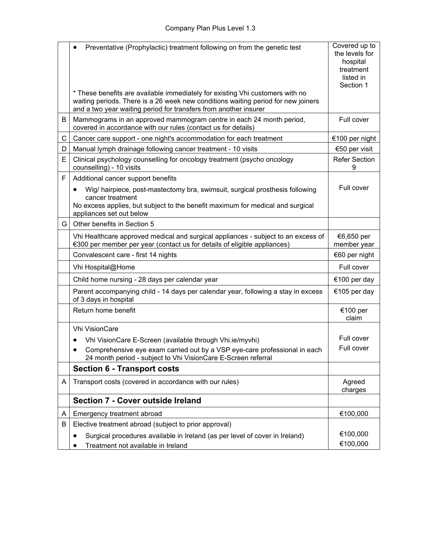|    | Preventative (Prophylactic) treatment following on from the genetic test<br>* These benefits are available immediately for existing Vhi customers with no<br>waiting periods. There is a 26 week new conditions waiting period for new joiners<br>and a two year waiting period for transfers from another insurer | Covered up to<br>the levels for<br>hospital<br>treatment<br>listed in<br>Section 1 |
|----|--------------------------------------------------------------------------------------------------------------------------------------------------------------------------------------------------------------------------------------------------------------------------------------------------------------------|------------------------------------------------------------------------------------|
| B  | Mammograms in an approved mammogram centre in each 24 month period,<br>covered in accordance with our rules (contact us for details)                                                                                                                                                                               | Full cover                                                                         |
| C  | Cancer care support - one night's accommodation for each treatment                                                                                                                                                                                                                                                 | €100 per night                                                                     |
| D  | Manual lymph drainage following cancer treatment - 10 visits                                                                                                                                                                                                                                                       | €50 per visit                                                                      |
| E  | Clinical psychology counselling for oncology treatment (psycho oncology<br>counselling) - 10 visits                                                                                                                                                                                                                | <b>Refer Section</b>                                                               |
| F  | Additional cancer support benefits                                                                                                                                                                                                                                                                                 |                                                                                    |
|    | Wig/ hairpiece, post-mastectomy bra, swimsuit, surgical prosthesis following<br>$\bullet$<br>cancer treatment<br>No excess applies, but subject to the benefit maximum for medical and surgical<br>appliances set out below                                                                                        | Full cover                                                                         |
| G. | Other benefits in Section 5                                                                                                                                                                                                                                                                                        |                                                                                    |
|    | Vhi Healthcare approved medical and surgical appliances - subject to an excess of<br>€300 per member per year (contact us for details of eligible appliances)                                                                                                                                                      | €6,650 per<br>member year                                                          |
|    | Convalescent care - first 14 nights                                                                                                                                                                                                                                                                                | €60 per night                                                                      |
|    | Vhi Hospital@Home                                                                                                                                                                                                                                                                                                  | Full cover                                                                         |
|    | Child home nursing - 28 days per calendar year                                                                                                                                                                                                                                                                     | €100 per day                                                                       |
|    | Parent accompanying child - 14 days per calendar year, following a stay in excess<br>of 3 days in hospital                                                                                                                                                                                                         | €105 per day                                                                       |
|    | Return home benefit                                                                                                                                                                                                                                                                                                | €100 per<br>claim                                                                  |
|    | Vhi VisionCare                                                                                                                                                                                                                                                                                                     |                                                                                    |
|    | Vhi VisionCare E-Screen (available through Vhi.ie/myvhi)                                                                                                                                                                                                                                                           | Full cover                                                                         |
|    | Comprehensive eye exam carried out by a VSP eye-care professional in each<br>24 month period - subject to Vhi VisionCare E-Screen referral                                                                                                                                                                         | Full cover                                                                         |
|    | <b>Section 6 - Transport costs</b>                                                                                                                                                                                                                                                                                 |                                                                                    |
| A  | Transport costs (covered in accordance with our rules)                                                                                                                                                                                                                                                             | Agreed<br>charges                                                                  |
|    | <b>Section 7 - Cover outside Ireland</b>                                                                                                                                                                                                                                                                           |                                                                                    |
| A  | Emergency treatment abroad                                                                                                                                                                                                                                                                                         | €100,000                                                                           |
| B  | Elective treatment abroad (subject to prior approval)                                                                                                                                                                                                                                                              |                                                                                    |
|    | Surgical procedures available in Ireland (as per level of cover in Ireland)<br>$\bullet$<br>Treatment not available in Ireland                                                                                                                                                                                     | €100,000<br>€100,000                                                               |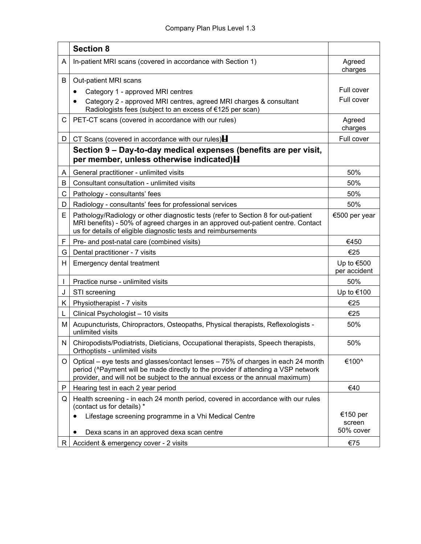|    | <b>Section 8</b>                                                                                                                                                                                                                                       |                                 |
|----|--------------------------------------------------------------------------------------------------------------------------------------------------------------------------------------------------------------------------------------------------------|---------------------------------|
| A  | In-patient MRI scans (covered in accordance with Section 1)                                                                                                                                                                                            | Agreed<br>charges               |
| В  | Out-patient MRI scans                                                                                                                                                                                                                                  |                                 |
|    | Category 1 - approved MRI centres                                                                                                                                                                                                                      | Full cover                      |
|    | Category 2 - approved MRI centres, agreed MRI charges & consultant<br>Radiologists fees (subject to an excess of €125 per scan)                                                                                                                        | Full cover                      |
| С  | PET-CT scans (covered in accordance with our rules)                                                                                                                                                                                                    | Agreed<br>charges               |
| D  | CT Scans (covered in accordance with our rules) $\blacksquare$                                                                                                                                                                                         | Full cover                      |
|    | Section 9 - Day-to-day medical expenses (benefits are per visit,<br>per member, unless otherwise indicated) H                                                                                                                                          |                                 |
| A  | General practitioner - unlimited visits                                                                                                                                                                                                                | 50%                             |
| В  | Consultant consultation - unlimited visits                                                                                                                                                                                                             | 50%                             |
| C  | Pathology - consultants' fees                                                                                                                                                                                                                          | 50%                             |
| D  | Radiology - consultants' fees for professional services                                                                                                                                                                                                | 50%                             |
| E. | Pathology/Radiology or other diagnostic tests (refer to Section 8 for out-patient<br>MRI benefits) - 50% of agreed charges in an approved out-patient centre. Contact<br>us for details of eligible diagnostic tests and reimbursements                | €500 per year                   |
| F  | Pre- and post-natal care (combined visits)                                                                                                                                                                                                             | €450                            |
| G  | Dental practitioner - 7 visits                                                                                                                                                                                                                         | €25                             |
| H. | Emergency dental treatment                                                                                                                                                                                                                             | Up to $€500$<br>per accident    |
| L  | Practice nurse - unlimited visits                                                                                                                                                                                                                      | 50%                             |
| J  | STI screening                                                                                                                                                                                                                                          | Up to €100                      |
| K. | Physiotherapist - 7 visits                                                                                                                                                                                                                             | €25                             |
| L  | Clinical Psychologist - 10 visits                                                                                                                                                                                                                      | €25                             |
| Μ  | Acupuncturists, Chiropractors, Osteopaths, Physical therapists, Reflexologists -<br>unlimited visits                                                                                                                                                   | 50%                             |
| N  | Chiropodists/Podiatrists, Dieticians, Occupational therapists, Speech therapists,<br>Orthoptists - unlimited visits                                                                                                                                    | 50%                             |
| O  | Optical – eye tests and glasses/contact lenses – 75% of charges in each 24 month<br>period (^Payment will be made directly to the provider if attending a VSP network<br>provider, and will not be subject to the annual excess or the annual maximum) | €100^                           |
| P  | Hearing test in each 2 year period                                                                                                                                                                                                                     | €40                             |
| Q  | Health screening - in each 24 month period, covered in accordance with our rules<br>(contact us for details) *                                                                                                                                         |                                 |
|    | Lifestage screening programme in a Vhi Medical Centre<br>Dexa scans in an approved dexa scan centre                                                                                                                                                    | €150 per<br>screen<br>50% cover |
| R. | Accident & emergency cover - 2 visits                                                                                                                                                                                                                  | €75                             |